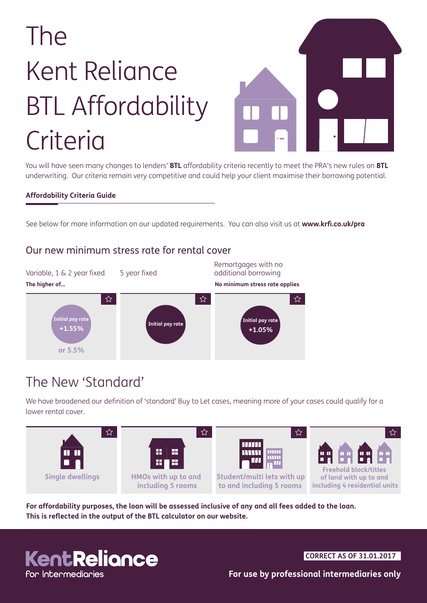# The Kent Reliance BTL Affordability **Criteria**



You will have seen many changes to lenders' **BTL** affordability criteria recently to meet the PRA's new rules on **BTL**  underwriting. Our criteria remain very competitive and could help your client maximise their borrowing potential.

#### **Affordability Criteria Guide**

See below for more information on our updated requirements. You can also visit us at **www.krfi.co.uk/pra**



### Our new minimum stress rate for rental cover

## The New 'Standard'

We have broadened our definition of 'standard' Buy to Let cases, meaning more of your cases could qualify for a lower rental cover.



**For affordability purposes, the loan will be assessed inclusive of any and all fees added to the loan. This is reflected in the output of the BTL calculator on our website.**

## KentReliance for Intermediaries

**CORRECT AS OF 31.01.2017**

**For use by professional intermediaries only**